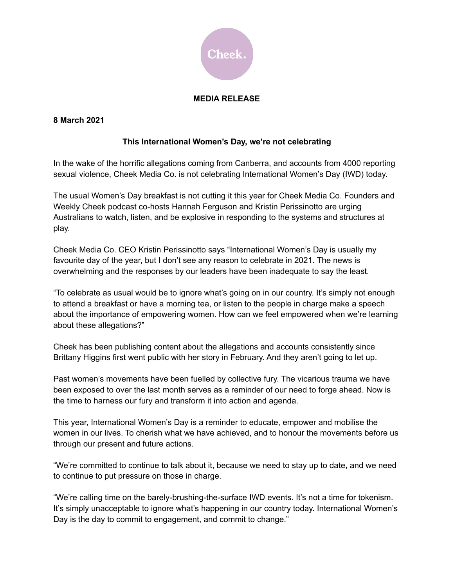

## **MEDIA RELEASE**

## **8 March 2021**

## **This International Women's Day, we're not celebrating**

In the wake of the horrific allegations coming from Canberra, and accounts from 4000 reporting sexual violence, Cheek Media Co. is not celebrating International Women's Day (IWD) today.

The usual Women's Day breakfast is not cutting it this year for Cheek Media Co. Founders and Weekly Cheek podcast co-hosts Hannah Ferguson and Kristin Perissinotto are urging Australians to watch, listen, and be explosive in responding to the systems and structures at play.

Cheek Media Co. CEO Kristin Perissinotto says "International Women's Day is usually my favourite day of the year, but I don't see any reason to celebrate in 2021. The news is overwhelming and the responses by our leaders have been inadequate to say the least.

"To celebrate as usual would be to ignore what's going on in our country. It's simply not enough to attend a breakfast or have a morning tea, or listen to the people in charge make a speech about the importance of empowering women. How can we feel empowered when we're learning about these allegations?"

Cheek has been publishing content about the allegations and accounts consistently since Brittany Higgins first went public with her story in February. And they aren't going to let up.

Past women's movements have been fuelled by collective fury. The vicarious trauma we have been exposed to over the last month serves as a reminder of our need to forge ahead. Now is the time to harness our fury and transform it into action and agenda.

This year, International Women's Day is a reminder to educate, empower and mobilise the women in our lives. To cherish what we have achieved, and to honour the movements before us through our present and future actions.

"We're committed to continue to talk about it, because we need to stay up to date, and we need to continue to put pressure on those in charge.

"We're calling time on the barely-brushing-the-surface IWD events. It's not a time for tokenism. It's simply unacceptable to ignore what's happening in our country today. International Women's Day is the day to commit to engagement, and commit to change."